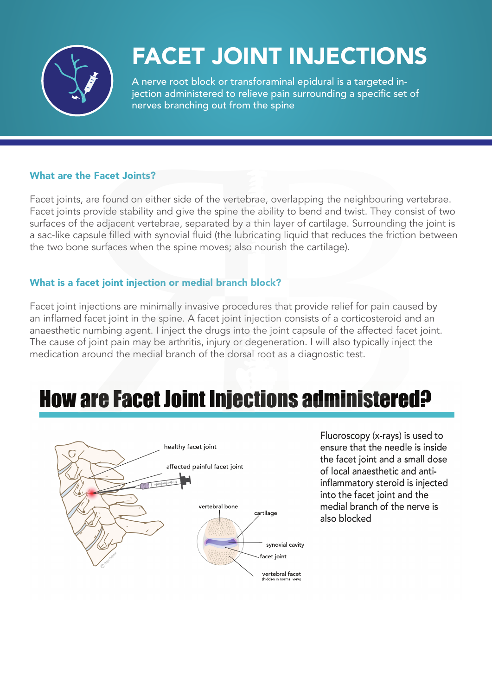

# FACET JOINT INJECTIONS

A nerve root block or transforaminal epidural is a targeted injection administered to relieve pain surrounding a specific set of nerves branching out from the spine

#### What are the Facet Joints?

Facet joints, are found on either side of the vertebrae, overlapping the neighbouring vertebrae. Facet joints provide stability and give the spine the ability to bend and twist. They consist of two surfaces of the adjacent vertebrae, separated by a thin layer of cartilage. Surrounding the joint is a sac-like capsule filled with synovial fluid (the lubricating liquid that reduces the friction between the two bone surfaces when the spine moves; also nourish the cartilage).

#### What is a facet joint injection or medial branch block?

Facet joint injections are minimally invasive procedures that provide relief for pain caused by an inflamed facet joint in the spine. A facet joint injection consists of a corticosteroid and an anaesthetic numbing agent. I inject the drugs into the joint capsule of the affected facet joint. The cause of joint pain may be arthritis, injury or degeneration. I will also typically inject the medication around the medial branch of the dorsal root as a diagnostic test.

## **How are Facet Joint Injections administered?**



Fluoroscopy (x-rays) is used to ensure that the needle is inside the facet joint and a small dose of local anaesthetic and antiinflammatory steroid is injected into the facet joint and the medial branch of the nerve is also blocked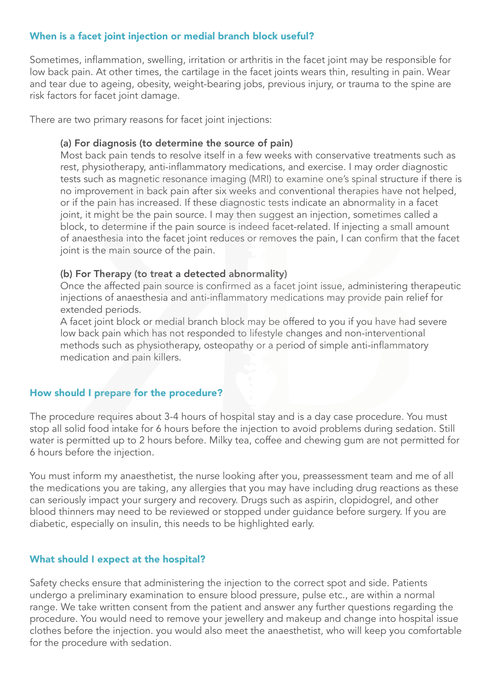#### When is a facet joint injection or medial branch block useful?

Sometimes, inflammation, swelling, irritation or arthritis in the facet joint may be responsible for low back pain. At other times, the cartilage in the facet joints wears thin, resulting in pain. Wear and tear due to ageing, obesity, weight-bearing jobs, previous injury, or trauma to the spine are risk factors for facet joint damage.

There are two primary reasons for facet joint injections:

#### (a) For diagnosis (to determine the source of pain)

Most back pain tends to resolve itself in a few weeks with conservative treatments such as rest, physiotherapy, anti-inflammatory medications, and exercise. I may order diagnostic tests such as magnetic resonance imaging (MRI) to examine one's spinal structure if there is no improvement in back pain after six weeks and conventional therapies have not helped, or if the pain has increased. If these diagnostic tests indicate an abnormality in a facet joint, it might be the pain source. I may then suggest an injection, sometimes called a block, to determine if the pain source is indeed facet-related. If injecting a small amount of anaesthesia into the facet joint reduces or removes the pain, I can confirm that the facet joint is the main source of the pain.

#### (b) For Therapy (to treat a detected abnormality)

Once the affected pain source is confirmed as a facet joint issue, administering therapeutic injections of anaesthesia and anti-inflammatory medications may provide pain relief for extended periods.

A facet joint block or medial branch block may be offered to you if you have had severe low back pain which has not responded to lifestyle changes and non-interventional methods such as physiotherapy, osteopathy or a period of simple anti-inflammatory medication and pain killers.

#### How should I prepare for the procedure?

The procedure requires about 3-4 hours of hospital stay and is a day case procedure. You must stop all solid food intake for 6 hours before the injection to avoid problems during sedation. Still water is permitted up to 2 hours before. Milky tea, coffee and chewing gum are not permitted for 6 hours before the injection.

You must inform my anaesthetist, the nurse looking after you, preassessment team and me of all the medications you are taking, any allergies that you may have including drug reactions as these can seriously impact your surgery and recovery. Drugs such as aspirin, clopidogrel, and other blood thinners may need to be reviewed or stopped under guidance before surgery. If you are diabetic, especially on insulin, this needs to be highlighted early.

#### What should I expect at the hospital?

Safety checks ensure that administering the injection to the correct spot and side. Patients undergo a preliminary examination to ensure blood pressure, pulse etc., are within a normal range. We take written consent from the patient and answer any further questions regarding the procedure. You would need to remove your jewellery and makeup and change into hospital issue clothes before the injection. you would also meet the anaesthetist, who will keep you comfortable for the procedure with sedation.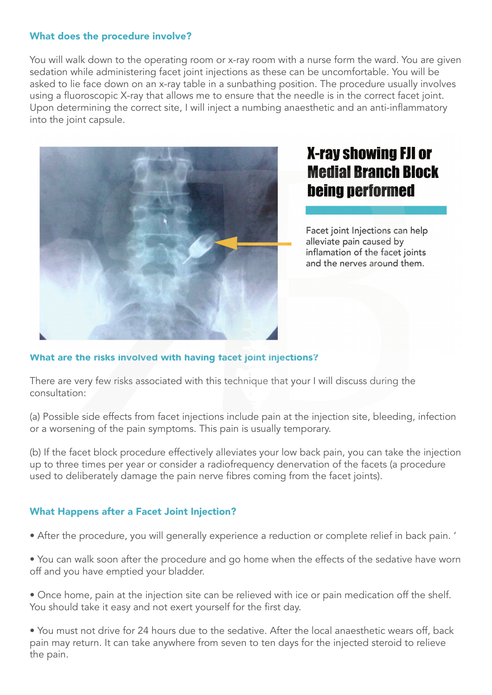#### What does the procedure involve?

You will walk down to the operating room or x-ray room with a nurse form the ward. You are given sedation while administering facet joint injections as these can be uncomfortable. You will be asked to lie face down on an x-ray table in a sunbathing position. The procedure usually involves using a fluoroscopic X-ray that allows me to ensure that the needle is in the correct facet joint. Upon determining the correct site, I will inject a numbing anaesthetic and an anti-inflammatory into the joint capsule.



### **X-ray showing FJI or Medial Branch Block being performed**

Facet joint Injections can help alleviate pain caused by inflamation of the facet joints and the nerves around them.

#### What are the risks involved with having facet joint injections?

There are very few risks associated with this technique that your I will discuss during the consultation:

(a) Possible side effects from facet injections include pain at the injection site, bleeding, infection or a worsening of the pain symptoms. This pain is usually temporary.

(b) If the facet block procedure effectively alleviates your low back pain, you can take the injection up to three times per year or consider a radiofrequency denervation of the facets (a procedure used to deliberately damage the pain nerve fibres coming from the facet joints).

#### What Happens after a Facet Joint Injection?

- After the procedure, you will generally experience a reduction or complete relief in back pain. '
- You can walk soon after the procedure and go home when the effects of the sedative have worn off and you have emptied your bladder.
- Once home, pain at the injection site can be relieved with ice or pain medication off the shelf. You should take it easy and not exert yourself for the first day.
- You must not drive for 24 hours due to the sedative. After the local anaesthetic wears off, back pain may return. It can take anywhere from seven to ten days for the injected steroid to relieve the pain.